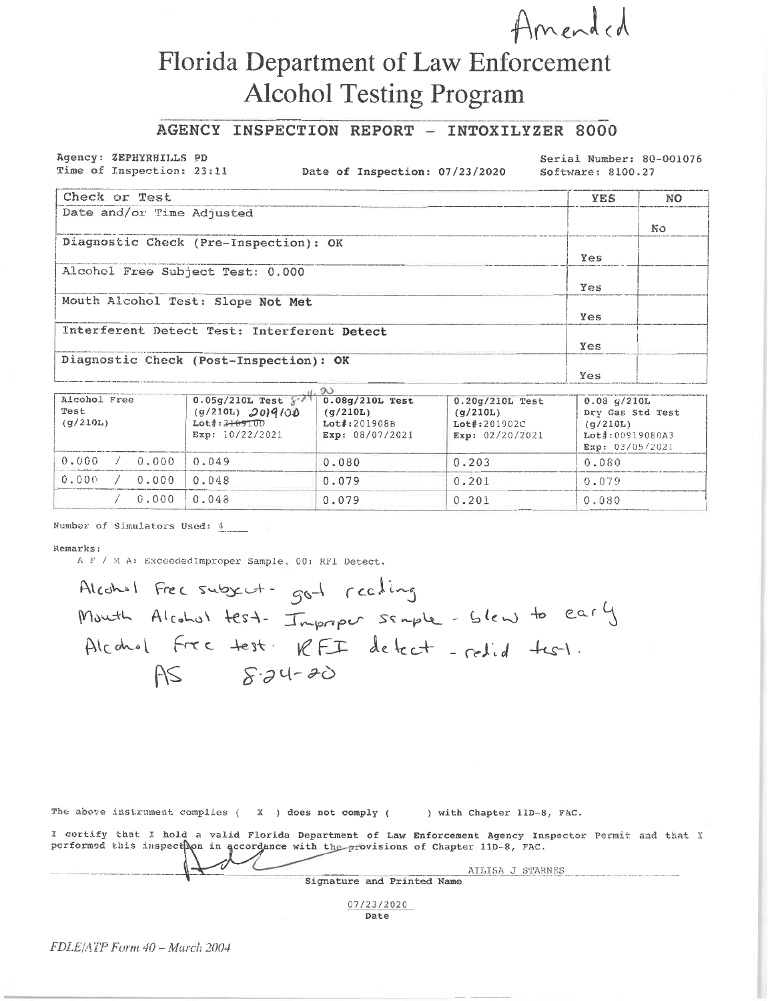# Florida Department of Law Enforcement **Alcohol Testing Program**

## AGENCY INSPECTION REPORT - INTOXILYZER 8000

#### Agency: ZEPHYRHILLS PD Time of Inspection: 23:11

Date of Inspection: 07/23/2020

Serial Number: 80-001076 Software: 8100.27

 $\overline{\chi}^{\prime}$ 

Amended

| Check or Test                               | <b>YES</b> | NO |
|---------------------------------------------|------------|----|
| Date and/or Time Adjusted                   |            |    |
|                                             |            | No |
| Diagnostic Check (Pre-Inspection): OK       |            |    |
|                                             | Yes        |    |
| Alcohol Free Subject Test: 0.000            |            |    |
|                                             | Yes        |    |
| Mouth Alcohol Test: Slope Not Met           |            |    |
|                                             | Yes        |    |
| Interferent Detect Test: Interferent Detect |            |    |
|                                             | Yes        |    |
| Diagnostic Check (Post-Inspection): OK      |            |    |
|                                             | Yes        |    |

| Alcohol Free<br>Test<br>(q/210L) |                      | $0.05g/210L$ Test $\{5,7\}$<br>$(g/210L)$ 2019/00<br>$Lot*:2+0910D$<br>Exp: 10/22/2021 | $0.08g/210L$ Test<br>(q/210L)<br>$Lot$ : 201908B<br>Exp: 08/07/2021 | $0.20q/210L$ Test<br>(q/210L)<br>$Lot$ #:201902C<br>Exp: $02/20/2021$ | $0.03$ $q/210L$<br>Dry Gas Std Test<br>(q/210L)<br>Lot#:00919080A3<br>Exp: 03/05/2021 |
|----------------------------------|----------------------|----------------------------------------------------------------------------------------|---------------------------------------------------------------------|-----------------------------------------------------------------------|---------------------------------------------------------------------------------------|
| 0.000                            | $\angle$ 0.000 0.049 |                                                                                        | 0.080                                                               | 0.203                                                                 | 0.080                                                                                 |
| 0.000                            | $0.000$ $0.048$      |                                                                                        | 0.079                                                               | 0.201                                                                 | 0.079                                                                                 |
|                                  |                      | $0.000$ $0.048$                                                                        | 0.079                                                               | 0.201                                                                 | 0.080                                                                                 |

Number of Simulators Used: 4

#### Remarks:

A F / M A: ExceededImproper Sample. 00: RFI Detect.

Alcohol Free subject- got realing Month Alcohol test- Improper sample-blew to early Alcohol Free test. RFI detect - redid test.  $AS$   $8.34-20$ 

| The above instrument complies $(X \cap X)$ does not comply $($ ) with Chapter 11D-8, FAC.                                                                                                  |                  |
|--------------------------------------------------------------------------------------------------------------------------------------------------------------------------------------------|------------------|
| I certify that I hold a valid Florida Department of Law Enforcement Agency Inspector Permit and that<br>performed this inspect on in accordance with the provisions of Chapter 11D-8, FAC. |                  |
| Signature and Printed Name                                                                                                                                                                 | AILISA J STARNES |

07/23/2020 Date